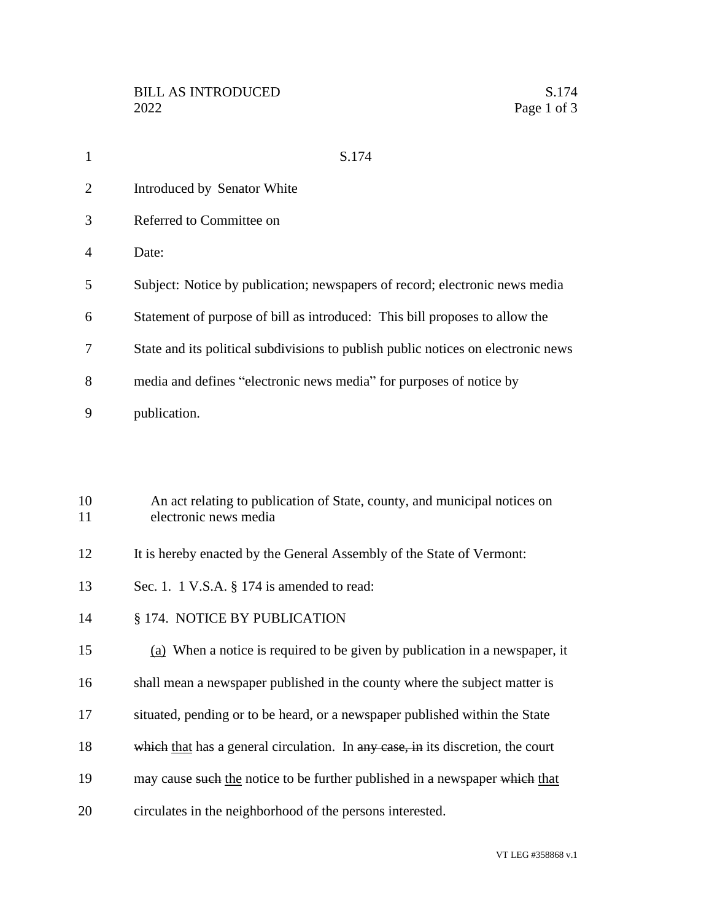| 1        | S.174                                                                                              |
|----------|----------------------------------------------------------------------------------------------------|
| 2        | Introduced by Senator White                                                                        |
| 3        | Referred to Committee on                                                                           |
| 4        | Date:                                                                                              |
| 5        | Subject: Notice by publication; newspapers of record; electronic news media                        |
| 6        | Statement of purpose of bill as introduced: This bill proposes to allow the                        |
| 7        | State and its political subdivisions to publish public notices on electronic news                  |
| 8        | media and defines "electronic news media" for purposes of notice by                                |
| 9        | publication.                                                                                       |
|          |                                                                                                    |
|          |                                                                                                    |
| 10<br>11 | An act relating to publication of State, county, and municipal notices on<br>electronic news media |

- 12 It is hereby enacted by the General Assembly of the State of Vermont:
- 13 Sec. 1. 1 V.S.A. § 174 is amended to read:
- § 174. NOTICE BY PUBLICATION

(a) When a notice is required to be given by publication in a newspaper, it

- shall mean a newspaper published in the county where the subject matter is
- situated, pending or to be heard, or a newspaper published within the State
- 18 which that has a general circulation. In any case, in its discretion, the court
- 19 may cause such the notice to be further published in a newspaper which that
- circulates in the neighborhood of the persons interested.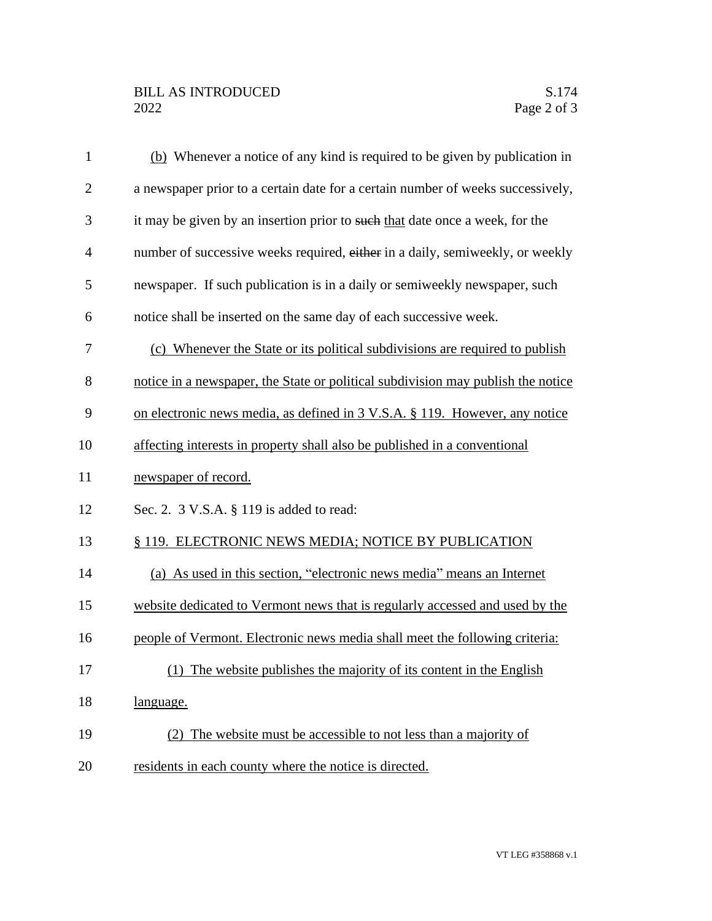| $\mathbf{1}$   | (b) Whenever a notice of any kind is required to be given by publication in      |
|----------------|----------------------------------------------------------------------------------|
| $\mathbf{2}$   | a newspaper prior to a certain date for a certain number of weeks successively,  |
| 3              | it may be given by an insertion prior to such that date once a week, for the     |
| $\overline{4}$ | number of successive weeks required, either in a daily, semiweekly, or weekly    |
| 5              | newspaper. If such publication is in a daily or semiweekly newspaper, such       |
| 6              | notice shall be inserted on the same day of each successive week.                |
| 7              | (c) Whenever the State or its political subdivisions are required to publish     |
| 8              | notice in a newspaper, the State or political subdivision may publish the notice |
| 9              | on electronic news media, as defined in 3 V.S.A. § 119. However, any notice      |
| 10             | affecting interests in property shall also be published in a conventional        |
| 11             | newspaper of record.                                                             |
| 12             | Sec. 2. 3 V.S.A. § 119 is added to read:                                         |
| 13             | § 119. ELECTRONIC NEWS MEDIA; NOTICE BY PUBLICATION                              |
| 14             | (a) As used in this section, "electronic news media" means an Internet           |
| 15             | website dedicated to Vermont news that is regularly accessed and used by the     |
| 16             | people of Vermont. Electronic news media shall meet the following criteria:      |
| 17             | (1) The website publishes the majority of its content in the English             |
| 18             | language.                                                                        |
| 19             | (2) The website must be accessible to not less than a majority of                |
| 20             | residents in each county where the notice is directed.                           |